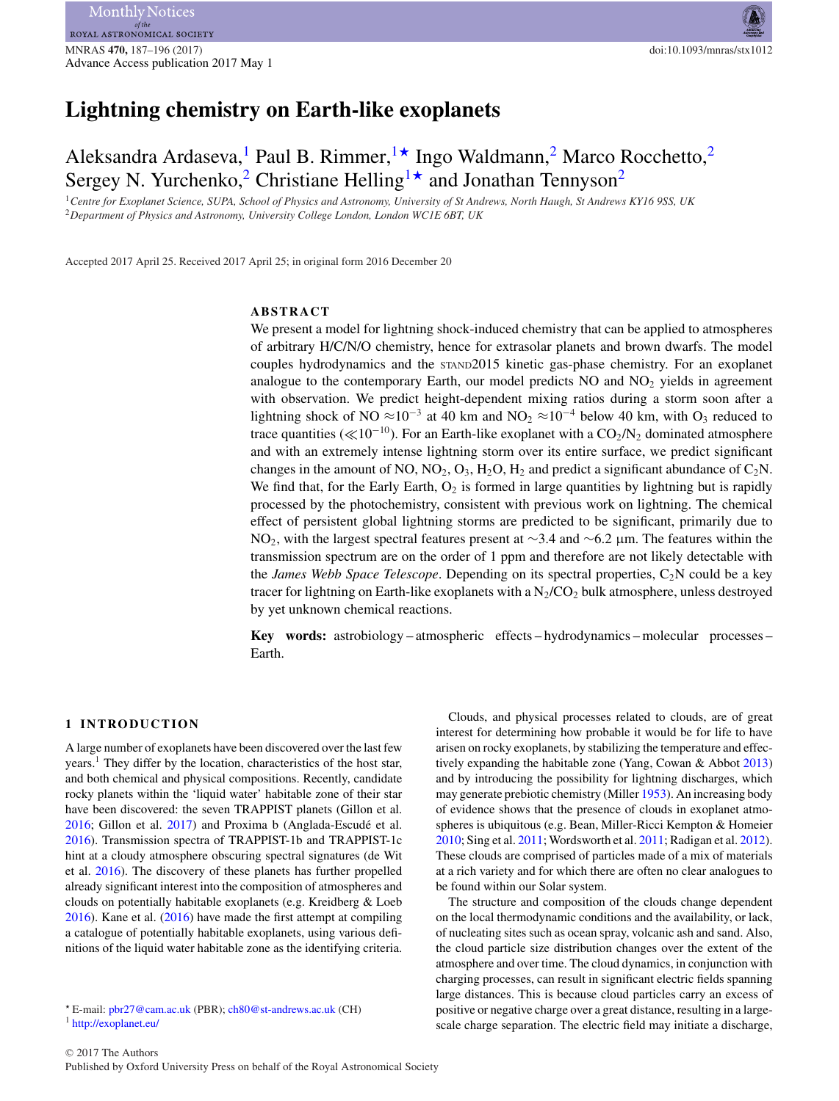# **Lightning chemistry on Earth-like exoplanets**

# Aleksandra Ardaseva,<sup>1</sup> Paul B. Rimmer,  $\rightarrow$  Ingo Waldmann,<sup>[2](#page-0-2)</sup> Marco Rocchetto,<sup>2</sup> Sergey N. Yurchenko,<sup>[2](#page-0-2)</sup> Christiane Helling<sup>1</sup><sup>\*</sup> and Jonathan Tennyson<sup>2</sup>

<span id="page-0-2"></span><span id="page-0-0"></span><sup>1</sup>*Centre for Exoplanet Science, SUPA, School of Physics and Astronomy, University of St Andrews, North Haugh, St Andrews KY16 9SS, UK* <sup>2</sup>*Department of Physics and Astronomy, University College London, London WC1E 6BT, UK*

Accepted 2017 April 25. Received 2017 April 25; in original form 2016 December 20

## **ABSTRACT**

We present a model for lightning shock-induced chemistry that can be applied to atmospheres of arbitrary H/C/N/O chemistry, hence for extrasolar planets and brown dwarfs. The model couples hydrodynamics and the STAND2015 kinetic gas-phase chemistry. For an exoplanet analogue to the contemporary Earth, our model predicts  $NO$  and  $NO<sub>2</sub>$  yields in agreement with observation. We predict height-dependent mixing ratios during a storm soon after a lightning shock of NO ≈10<sup>-3</sup> at 40 km and NO<sub>2</sub> ≈10<sup>-4</sup> below 40 km, with O<sub>3</sub> reduced to trace quantities ( $\ll 10^{-10}$ ). For an Earth-like exoplanet with a CO<sub>2</sub>/N<sub>2</sub> dominated atmosphere and with an extremely intense lightning storm over its entire surface, we predict significant changes in the amount of NO,  $NO_2$ ,  $O_3$ ,  $H_2O$ ,  $H_2$  and predict a significant abundance of  $C_2N$ . We find that, for the Early Earth,  $O_2$  is formed in large quantities by lightning but is rapidly processed by the photochemistry, consistent with previous work on lightning. The chemical effect of persistent global lightning storms are predicted to be significant, primarily due to NO<sub>2</sub>, with the largest spectral features present at ∼3.4 and ∼6.2 µm. The features within the transmission spectrum are on the order of 1 ppm and therefore are not likely detectable with the *James Webb Space Telescope*. Depending on its spectral properties, C2N could be a key tracer for lightning on Earth-like exoplanets with a  $N_2/CO_2$  bulk atmosphere, unless destroyed by yet unknown chemical reactions.

**Key words:** astrobiology – atmospheric effects – hydrodynamics – molecular processes – Earth.

#### **1 INTRODUCTION**

A large number of exoplanets have been discovered over the last few years.1 They differ by the location, characteristics of the host star, and both chemical and physical compositions. Recently, candidate rocky planets within the 'liquid water' habitable zone of their star have been discovered: the seven TRAPPIST planets (Gillon et al. [2016;](#page-7-0) Gillon et al. [2017\)](#page-7-1) and Proxima b (Anglada-Escude et al. ´ [2016\)](#page-7-2). Transmission spectra of TRAPPIST-1b and TRAPPIST-1c hint at a cloudy atmosphere obscuring spectral signatures (de Wit et al. [2016\)](#page-7-3). The discovery of these planets has further propelled already significant interest into the composition of atmospheres and clouds on potentially habitable exoplanets (e.g. Kreidberg & Loeb [2016\)](#page-8-0). Kane et al. [\(2016\)](#page-8-1) have made the first attempt at compiling a catalogue of potentially habitable exoplanets, using various definitions of the liquid water habitable zone as the identifying criteria.

arisen on rocky exoplanets, by stabilizing the temperature and effectively expanding the habitable zone (Yang, Cowan & Abbot [2013\)](#page-8-2) and by introducing the possibility for lightning discharges, which may generate prebiotic chemistry (Miller [1953\)](#page-8-3). An increasing body of evidence shows that the presence of clouds in exoplanet atmospheres is ubiquitous (e.g. Bean, Miller-Ricci Kempton & Homeier [2010;](#page-7-4) Sing et al. [2011;](#page-8-4) Wordsworth et al. [2011;](#page-8-5) Radigan et al. [2012\)](#page-8-6). These clouds are comprised of particles made of a mix of materials at a rich variety and for which there are often no clear analogues to be found within our Solar system. The structure and composition of the clouds change dependent

Clouds, and physical processes related to clouds, are of great interest for determining how probable it would be for life to have

on the local thermodynamic conditions and the availability, or lack, of nucleating sites such as ocean spray, volcanic ash and sand. Also, the cloud particle size distribution changes over the extent of the atmosphere and over time. The cloud dynamics, in conjunction with charging processes, can result in significant electric fields spanning large distances. This is because cloud particles carry an excess of positive or negative charge over a great distance, resulting in a largescale charge separation. The electric field may initiate a discharge,

<span id="page-0-1"></span><sup>-</sup> E-mail: [pbr27@cam.ac.uk](mailto:pbr27@cam.ac.uk) (PBR); [ch80@st-andrews.ac.uk](mailto:ch80@st-andrews.ac.uk) (CH) <sup>1</sup> <http://exoplanet.eu/>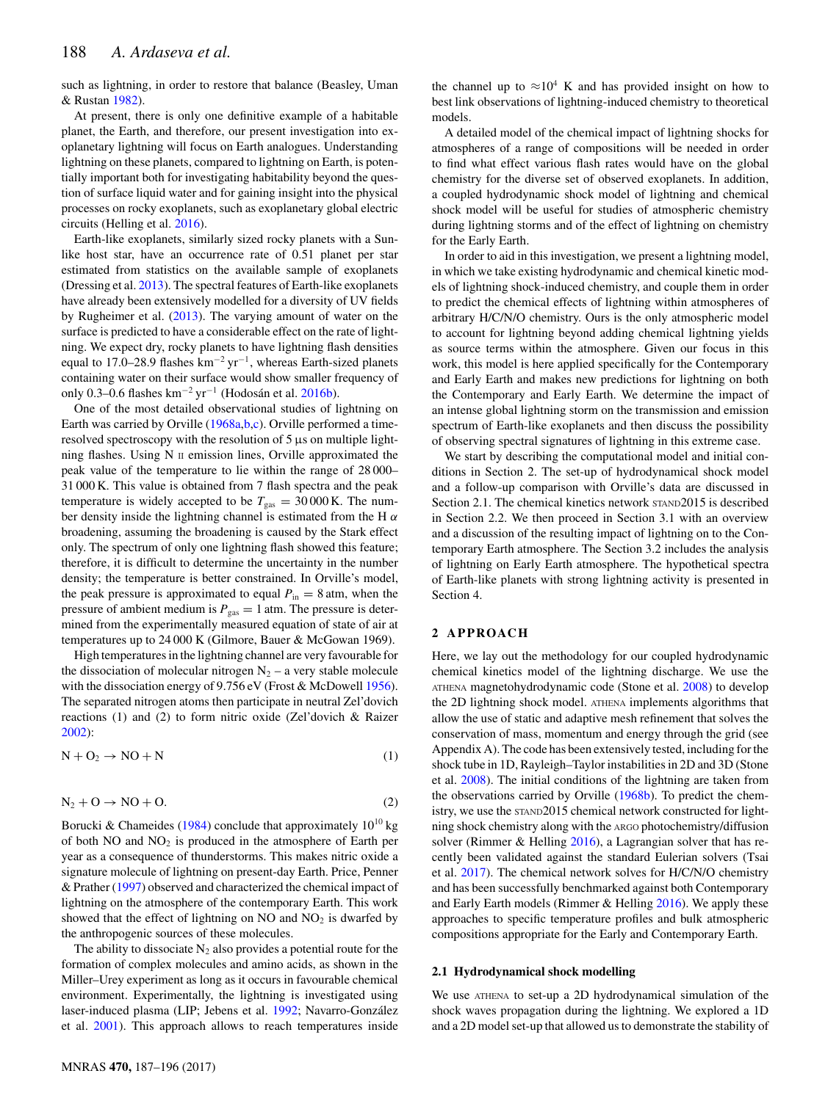such as lightning, in order to restore that balance (Beasley, Uman & Rustan [1982\)](#page-7-5).

At present, there is only one definitive example of a habitable planet, the Earth, and therefore, our present investigation into exoplanetary lightning will focus on Earth analogues. Understanding lightning on these planets, compared to lightning on Earth, is potentially important both for investigating habitability beyond the question of surface liquid water and for gaining insight into the physical processes on rocky exoplanets, such as exoplanetary global electric circuits (Helling et al. [2016\)](#page-7-6).

Earth-like exoplanets, similarly sized rocky planets with a Sunlike host star, have an occurrence rate of 0.51 planet per star estimated from statistics on the available sample of exoplanets (Dressing et al. [2013\)](#page-7-7). The spectral features of Earth-like exoplanets have already been extensively modelled for a diversity of UV fields by Rugheimer et al. [\(2013\)](#page-8-7). The varying amount of water on the surface is predicted to have a considerable effect on the rate of lightning. We expect dry, rocky planets to have lightning flash densities equal to 17.0–28.9 flashes km<sup>-2</sup> yr<sup>-1</sup>, whereas Earth-sized planets containing water on their surface would show smaller frequency of only 0.3–0.6 flashes km<sup>-2</sup> yr<sup>-1</sup> (Hodosán et al. [2016b\)](#page-7-8).

One of the most detailed observational studies of lightning on Earth was carried by Orville [\(1968a](#page-8-8)[,b,](#page-8-9)[c\)](#page-8-10). Orville performed a timeresolved spectroscopy with the resolution of 5 μs on multiple lightning flashes. Using N II emission lines, Orville approximated the peak value of the temperature to lie within the range of 28 000– 31 000 K. This value is obtained from 7 flash spectra and the peak temperature is widely accepted to be  $T_{gas} = 30000$  K. The number density inside the lightning channel is estimated from the H  $\alpha$ broadening, assuming the broadening is caused by the Stark effect only. The spectrum of only one lightning flash showed this feature; therefore, it is difficult to determine the uncertainty in the number density; the temperature is better constrained. In Orville's model, the peak pressure is approximated to equal  $P_{in} = 8$  atm, when the pressure of ambient medium is  $P_{\text{gas}} = 1$  atm. The pressure is determined from the experimentally measured equation of state of air at temperatures up to 24 000 K (Gilmore, Bauer & McGowan 1969).

High temperatures in the lightning channel are very favourable for the dissociation of molecular nitrogen  $N_2$  – a very stable molecule with the dissociation energy of 9.756 eV (Frost & McDowell [1956\)](#page-7-9). The separated nitrogen atoms then participate in neutral Zel'dovich reactions (1) and (2) to form nitric oxide (Zel'dovich & Raizer [2002\)](#page-8-11):

$$
N + O_2 \to NO + N \tag{1}
$$

$$
N_2 + O \to NO + O. \tag{2}
$$

Borucki & Chameides [\(1984\)](#page-7-10) conclude that approximately  $10^{10}$  kg of both  $NO$  and  $NO<sub>2</sub>$  is produced in the atmosphere of Earth per year as a consequence of thunderstorms. This makes nitric oxide a signature molecule of lightning on present-day Earth. Price, Penner & Prather [\(1997\)](#page-8-12) observed and characterized the chemical impact of lightning on the atmosphere of the contemporary Earth. This work showed that the effect of lightning on NO and  $NO<sub>2</sub>$  is dwarfed by the anthropogenic sources of these molecules.

The ability to dissociate  $N_2$  also provides a potential route for the formation of complex molecules and amino acids, as shown in the Miller–Urey experiment as long as it occurs in favourable chemical environment. Experimentally, the lightning is investigated using laser-induced plasma (LIP; Jebens et al. [1992;](#page-8-13) Navarro-González et al. [2001\)](#page-8-14). This approach allows to reach temperatures inside

the channel up to  $\approx 10^4$  K and has provided insight on how to best link observations of lightning-induced chemistry to theoretical models.

A detailed model of the chemical impact of lightning shocks for atmospheres of a range of compositions will be needed in order to find what effect various flash rates would have on the global chemistry for the diverse set of observed exoplanets. In addition, a coupled hydrodynamic shock model of lightning and chemical shock model will be useful for studies of atmospheric chemistry during lightning storms and of the effect of lightning on chemistry for the Early Earth.

In order to aid in this investigation, we present a lightning model, in which we take existing hydrodynamic and chemical kinetic models of lightning shock-induced chemistry, and couple them in order to predict the chemical effects of lightning within atmospheres of arbitrary H/C/N/O chemistry. Ours is the only atmospheric model to account for lightning beyond adding chemical lightning yields as source terms within the atmosphere. Given our focus in this work, this model is here applied specifically for the Contemporary and Early Earth and makes new predictions for lightning on both the Contemporary and Early Earth. We determine the impact of an intense global lightning storm on the transmission and emission spectrum of Earth-like exoplanets and then discuss the possibility of observing spectral signatures of lightning in this extreme case.

We start by describing the computational model and initial conditions in Section 2. The set-up of hydrodynamical shock model and a follow-up comparison with Orville's data are discussed in Section 2.1. The chemical kinetics network STAND2015 is described in Section 2.2. We then proceed in Section 3.1 with an overview and a discussion of the resulting impact of lightning on to the Contemporary Earth atmosphere. The Section 3.2 includes the analysis of lightning on Early Earth atmosphere. The hypothetical spectra of Earth-like planets with strong lightning activity is presented in Section 4.

### **2 APPROACH**

Here, we lay out the methodology for our coupled hydrodynamic chemical kinetics model of the lightning discharge. We use the ATHENA magnetohydrodynamic code (Stone et al. [2008\)](#page-8-15) to develop the 2D lightning shock model. ATHENA implements algorithms that allow the use of static and adaptive mesh refinement that solves the conservation of mass, momentum and energy through the grid (see Appendix A). The code has been extensively tested, including for the shock tube in 1D, Rayleigh–Taylor instabilities in 2D and 3D (Stone et al. [2008\)](#page-8-15). The initial conditions of the lightning are taken from the observations carried by Orville [\(1968b\)](#page-8-9). To predict the chemistry, we use the STAND2015 chemical network constructed for lightning shock chemistry along with the ARGO photochemistry/diffusion solver (Rimmer & Helling [2016\)](#page-8-16), a Lagrangian solver that has recently been validated against the standard Eulerian solvers (Tsai et al. [2017\)](#page-8-17). The chemical network solves for H/C/N/O chemistry and has been successfully benchmarked against both Contemporary and Early Earth models (Rimmer & Helling [2016\)](#page-8-16). We apply these approaches to specific temperature profiles and bulk atmospheric compositions appropriate for the Early and Contemporary Earth.

#### **2.1 Hydrodynamical shock modelling**

We use ATHENA to set-up a 2D hydrodynamical simulation of the shock waves propagation during the lightning. We explored a 1D and a 2D model set-up that allowed us to demonstrate the stability of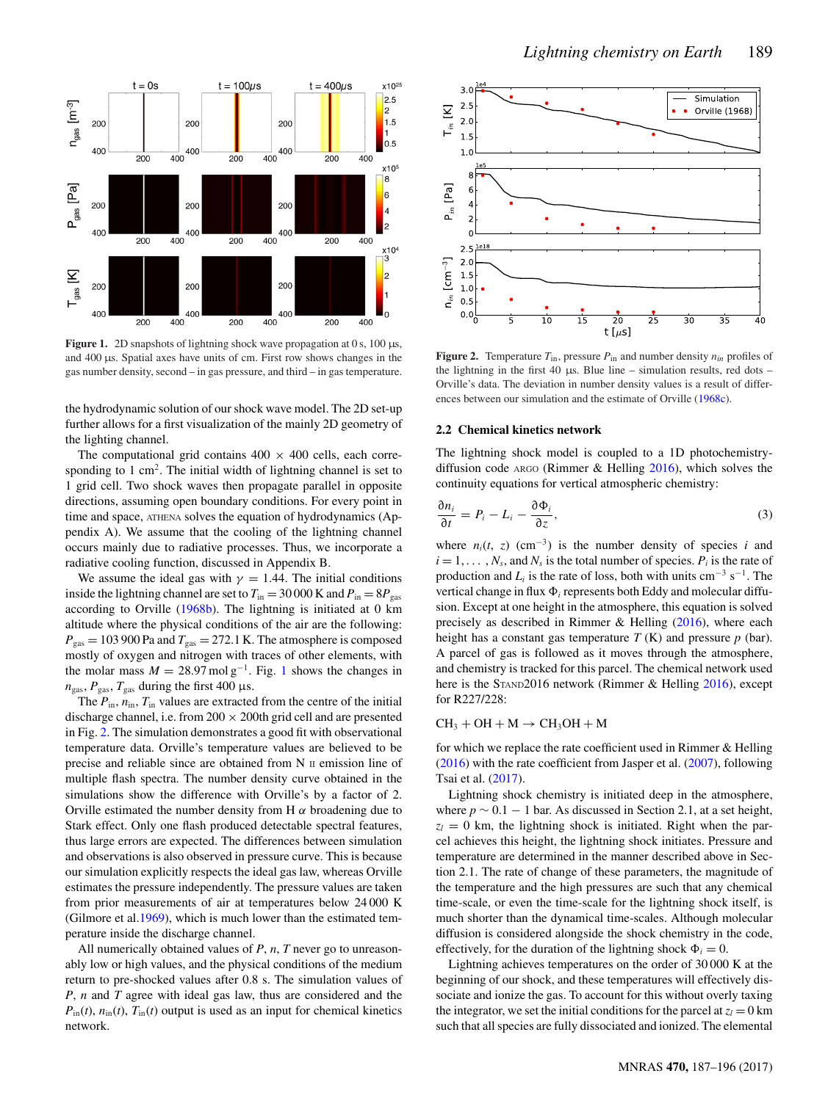<span id="page-2-0"></span>

**Figure 1.** 2D snapshots of lightning shock wave propagation at 0 s, 100  $\mu$ s, and 400 µs. Spatial axes have units of cm. First row shows changes in the gas number density, second – in gas pressure, and third – in gas temperature.

the hydrodynamic solution of our shock wave model. The 2D set-up further allows for a first visualization of the mainly 2D geometry of the lighting channel.

The computational grid contains  $400 \times 400$  cells, each corresponding to  $1 \text{ cm}^2$ . The initial width of lightning channel is set to 1 grid cell. Two shock waves then propagate parallel in opposite directions, assuming open boundary conditions. For every point in time and space, ATHENA solves the equation of hydrodynamics (Appendix A). We assume that the cooling of the lightning channel occurs mainly due to radiative processes. Thus, we incorporate a radiative cooling function, discussed in Appendix B.

We assume the ideal gas with  $\gamma = 1.44$ . The initial conditions inside the lightning channel are set to  $T_{\text{in}} = 30000 \text{ K}$  and  $P_{\text{in}} = 8P_{\text{gas}}$ according to Orville [\(1968b\)](#page-8-9). The lightning is initiated at 0 km altitude where the physical conditions of the air are the following:  $P_{\text{gas}} = 103\,900$  Pa and  $T_{\text{gas}} = 272.1$  K. The atmosphere is composed mostly of oxygen and nitrogen with traces of other elements, with the molar mass  $M = 28.97 \text{ mol g}^{-1}$  $M = 28.97 \text{ mol g}^{-1}$  $M = 28.97 \text{ mol g}^{-1}$ . Fig. 1 shows the changes in  $n_{\text{gas}}$ ,  $P_{\text{gas}}$ ,  $T_{\text{gas}}$  during the first 400 μs.

The  $P_{\text{in}}$ ,  $n_{\text{in}}$ ,  $T_{\text{in}}$  values are extracted from the centre of the initial discharge channel, i.e. from  $200 \times 200$ th grid cell and are presented in Fig. [2.](#page-2-1) The simulation demonstrates a good fit with observational temperature data. Orville's temperature values are believed to be precise and reliable since are obtained from N II emission line of multiple flash spectra. The number density curve obtained in the simulations show the difference with Orville's by a factor of 2. Orville estimated the number density from H  $\alpha$  broadening due to Stark effect. Only one flash produced detectable spectral features, thus large errors are expected. The differences between simulation and observations is also observed in pressure curve. This is because our simulation explicitly respects the ideal gas law, whereas Orville estimates the pressure independently. The pressure values are taken from prior measurements of air at temperatures below 24 000 K (Gilmore et al[.1969\)](#page-7-11), which is much lower than the estimated temperature inside the discharge channel.

All numerically obtained values of *P*, *n*, *T* never go to unreasonably low or high values, and the physical conditions of the medium return to pre-shocked values after 0.8 s. The simulation values of *P*, *n* and *T* agree with ideal gas law, thus are considered and the  $P_{\text{in}}(t)$ ,  $n_{\text{in}}(t)$ ,  $T_{\text{in}}(t)$  output is used as an input for chemical kinetics network.

<span id="page-2-1"></span>

**Figure 2.** Temperature  $T_{\text{in}}$ , pressure  $P_{\text{in}}$  and number density  $n_{in}$  profiles of the lightning in the first 40  $\mu$ s. Blue line – simulation results, red dots – Orville's data. The deviation in number density values is a result of differences between our simulation and the estimate of Orville [\(1968c\)](#page-8-10).

## **2.2 Chemical kinetics network**

The lightning shock model is coupled to a 1D photochemistrydiffusion code ARGO (Rimmer & Helling [2016\)](#page-8-16), which solves the continuity equations for vertical atmospheric chemistry:

$$
\frac{\partial n_i}{\partial t} = P_i - L_i - \frac{\partial \Phi_i}{\partial z},\tag{3}
$$

where  $n_i(t, z)$  (cm<sup>-3</sup>) is the number density of species *i* and  $i = 1, \ldots, N_s$ , and  $N_s$  is the total number of species.  $P_i$  is the rate of production and  $L_i$  is the rate of loss, both with units cm<sup>-3</sup> s<sup>-1</sup>. The vertical change in flux  $\Phi_i$  represents both Eddy and molecular diffusion. Except at one height in the atmosphere, this equation is solved precisely as described in Rimmer & Helling [\(2016\)](#page-8-16), where each height has a constant gas temperature *T* (K) and pressure *p* (bar). A parcel of gas is followed as it moves through the atmosphere, and chemistry is tracked for this parcel. The chemical network used here is the STAND2016 network (Rimmer & Helling [2016\)](#page-8-16), except for R227/228:

#### $CH_3 + OH + M \rightarrow CH_3OH + M$

for which we replace the rate coefficient used in Rimmer & Helling [\(2016\)](#page-8-16) with the rate coefficient from Jasper et al. [\(2007\)](#page-7-12), following Tsai et al. [\(2017\)](#page-8-17).

Lightning shock chemistry is initiated deep in the atmosphere, where  $p \sim 0.1 - 1$  bar. As discussed in Section 2.1, at a set height,  $z_l = 0$  km, the lightning shock is initiated. Right when the parcel achieves this height, the lightning shock initiates. Pressure and temperature are determined in the manner described above in Section 2.1. The rate of change of these parameters, the magnitude of the temperature and the high pressures are such that any chemical time-scale, or even the time-scale for the lightning shock itself, is much shorter than the dynamical time-scales. Although molecular diffusion is considered alongside the shock chemistry in the code, effectively, for the duration of the lightning shock  $\Phi_i = 0$ .

Lightning achieves temperatures on the order of 30 000 K at the beginning of our shock, and these temperatures will effectively dissociate and ionize the gas. To account for this without overly taxing the integrator, we set the initial conditions for the parcel at  $z_l = 0$  km such that all species are fully dissociated and ionized. The elemental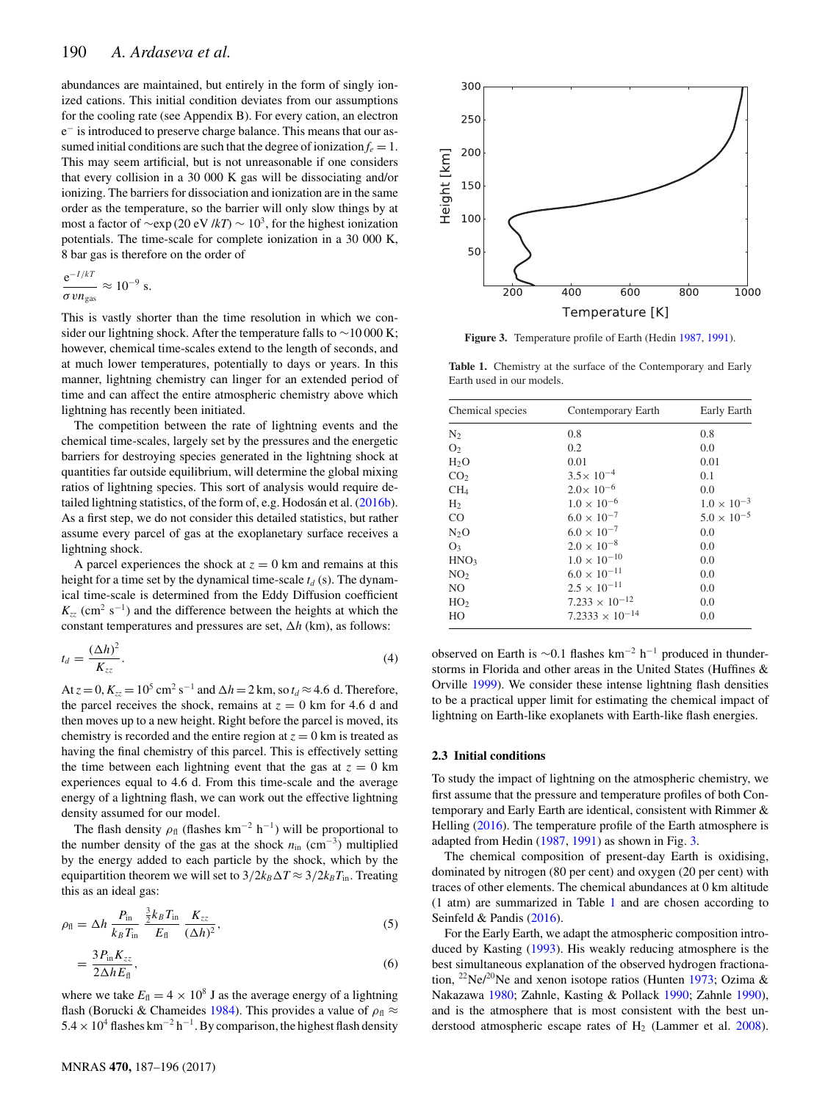abundances are maintained, but entirely in the form of singly ionized cations. This initial condition deviates from our assumptions for the cooling rate (see Appendix B). For every cation, an electron e<sup>−</sup> is introduced to preserve charge balance. This means that our assumed initial conditions are such that the degree of ionization  $f_e = 1$ . This may seem artificial, but is not unreasonable if one considers that every collision in a 30 000 K gas will be dissociating and/or ionizing. The barriers for dissociation and ionization are in the same order as the temperature, so the barrier will only slow things by at most a factor of  $\sim$ exp (20 eV /*kT*)  $\sim 10^3$ , for the highest ionization potentials. The time-scale for complete ionization in a 30 000 K, 8 bar gas is therefore on the order of

$$
\frac{e^{-I/kT}}{\sigma \nu n_{\rm gas}} \approx 10^{-9} \text{ s}.
$$

This is vastly shorter than the time resolution in which we consider our lightning shock. After the temperature falls to ∼10 000 K; however, chemical time-scales extend to the length of seconds, and at much lower temperatures, potentially to days or years. In this manner, lightning chemistry can linger for an extended period of time and can affect the entire atmospheric chemistry above which lightning has recently been initiated.

The competition between the rate of lightning events and the chemical time-scales, largely set by the pressures and the energetic barriers for destroying species generated in the lightning shock at quantities far outside equilibrium, will determine the global mixing ratios of lightning species. This sort of analysis would require detailed lightning statistics, of the form of, e.g. Hodosán et al.  $(2016b)$  $(2016b)$ . As a first step, we do not consider this detailed statistics, but rather assume every parcel of gas at the exoplanetary surface receives a lightning shock.

A parcel experiences the shock at  $z = 0$  km and remains at this height for a time set by the dynamical time-scale  $t_d$  (s). The dynamical time-scale is determined from the Eddy Diffusion coefficient  $K_{zz}$  (cm<sup>2</sup> s<sup>-1</sup>) and the difference between the heights at which the constant temperatures and pressures are set,  $\Delta h$  (km), as follows:

$$
t_d = \frac{(\Delta h)^2}{K_{zz}}.\tag{4}
$$

At  $z = 0$ ,  $K_{zz} = 10^5$  cm<sup>2</sup> s<sup>-1</sup> and  $\Delta h = 2$  km, so  $t_d \approx 4.6$  d. Therefore, the parcel receives the shock, remains at  $z = 0$  km for 4.6 d and then moves up to a new height. Right before the parcel is moved, its chemistry is recorded and the entire region at  $z = 0$  km is treated as having the final chemistry of this parcel. This is effectively setting the time between each lightning event that the gas at  $z = 0$  km experiences equal to 4.6 d. From this time-scale and the average energy of a lightning flash, we can work out the effective lightning density assumed for our model.

The flash density  $\rho_{\text{fl}}$  (flashes km<sup>-2</sup> h<sup>-1</sup>) will be proportional to the number density of the gas at the shock  $n_{\text{in}}$  (cm<sup>-3</sup>) multiplied by the energy added to each particle by the shock, which by the equipartition theorem we will set to  $3/2k_B\Delta T \approx 3/2k_B T_{\text{in}}$ . Treating this as an ideal gas:

$$
\rho_{\rm fl} = \Delta h \, \frac{P_{\rm in}}{k_B T_{\rm in}} \, \frac{\frac{3}{2} k_B T_{\rm in}}{E_{\rm fl}} \, \frac{K_{zz}}{(\Delta h)^2},\tag{5}
$$

$$
=\frac{3P_{\text{in}}K_{zz}}{2\Delta hE_{\text{f}}},\tag{6}
$$

where we take  $E_{\text{fl}} = 4 \times 10^8$  J as the average energy of a lightning flash (Borucki & Chameides [1984\)](#page-7-10). This provides a value of  $\rho_{\text{fl}} \approx$ 5.4 × 10<sup>4</sup> flashes km<sup>-2</sup> h<sup>-1</sup>. By comparison, the highest flash density

<span id="page-3-0"></span>

**Figure 3.** Temperature profile of Earth (Hedin [1987,](#page-7-13) [1991\)](#page-7-14).

<span id="page-3-1"></span>**Table 1.** Chemistry at the surface of the Contemporary and Early Earth used in our models.

| Chemical species | Contemporary Earth       | Early Earth          |  |  |
|------------------|--------------------------|----------------------|--|--|
| $N_2$            | 0.8                      | 0.8                  |  |  |
| O <sub>2</sub>   | 0.2                      | 0.0                  |  |  |
| $H_2O$           | 0.01                     | 0.01                 |  |  |
| CO <sub>2</sub>  | $3.5 \times 10^{-4}$     | 0.1                  |  |  |
| CH <sub>4</sub>  | $2.0 \times 10^{-6}$     | 0.0                  |  |  |
| H <sub>2</sub>   | $1.0 \times 10^{-6}$     | $1.0 \times 10^{-3}$ |  |  |
| CO               | $6.0 \times 10^{-7}$     | $5.0 \times 10^{-5}$ |  |  |
| $N_2O$           | $6.0 \times 10^{-7}$     | 0.0                  |  |  |
| O <sub>3</sub>   | $2.0 \times 10^{-8}$     | 0.0                  |  |  |
| HNO <sub>3</sub> | $1.0 \times 10^{-10}$    | 0.0                  |  |  |
| NO <sub>2</sub>  | $6.0 \times 10^{-11}$    | 0.0                  |  |  |
| NO.              | $2.5 \times 10^{-11}$    | 0.0                  |  |  |
| HO <sub>2</sub>  | $7.233 \times 10^{-12}$  | 0.0                  |  |  |
| HO               | $7.2333 \times 10^{-14}$ | 0.0                  |  |  |

observed on Earth is <sup>∼</sup>0.1 flashes km−<sup>2</sup> <sup>h</sup>−<sup>1</sup> produced in thunderstorms in Florida and other areas in the United States (Huffines & Orville [1999\)](#page-7-15). We consider these intense lightning flash densities to be a practical upper limit for estimating the chemical impact of lightning on Earth-like exoplanets with Earth-like flash energies.

## **2.3 Initial conditions**

To study the impact of lightning on the atmospheric chemistry, we first assume that the pressure and temperature profiles of both Contemporary and Early Earth are identical, consistent with Rimmer & Helling [\(2016\)](#page-8-16). The temperature profile of the Earth atmosphere is adapted from Hedin [\(1987,](#page-7-13) [1991\)](#page-7-14) as shown in Fig. [3.](#page-3-0)

The chemical composition of present-day Earth is oxidising, dominated by nitrogen (80 per cent) and oxygen (20 per cent) with traces of other elements. The chemical abundances at 0 km altitude (1 atm) are summarized in Table [1](#page-3-1) and are chosen according to Seinfeld & Pandis [\(2016\)](#page-8-18).

For the Early Earth, we adapt the atmospheric composition introduced by Kasting [\(1993\)](#page-8-19). His weakly reducing atmosphere is the best simultaneous explanation of the observed hydrogen fractiona-tion, <sup>22</sup>Ne/<sup>20</sup>Ne and xenon isotope ratios (Hunten [1973;](#page-7-16) Ozima & Nakazawa [1980;](#page-8-20) Zahnle, Kasting & Pollack [1990;](#page-8-21) Zahnle [1990\)](#page-8-22), and is the atmosphere that is most consistent with the best understood atmospheric escape rates of  $H_2$  (Lammer et al. [2008\)](#page-8-23).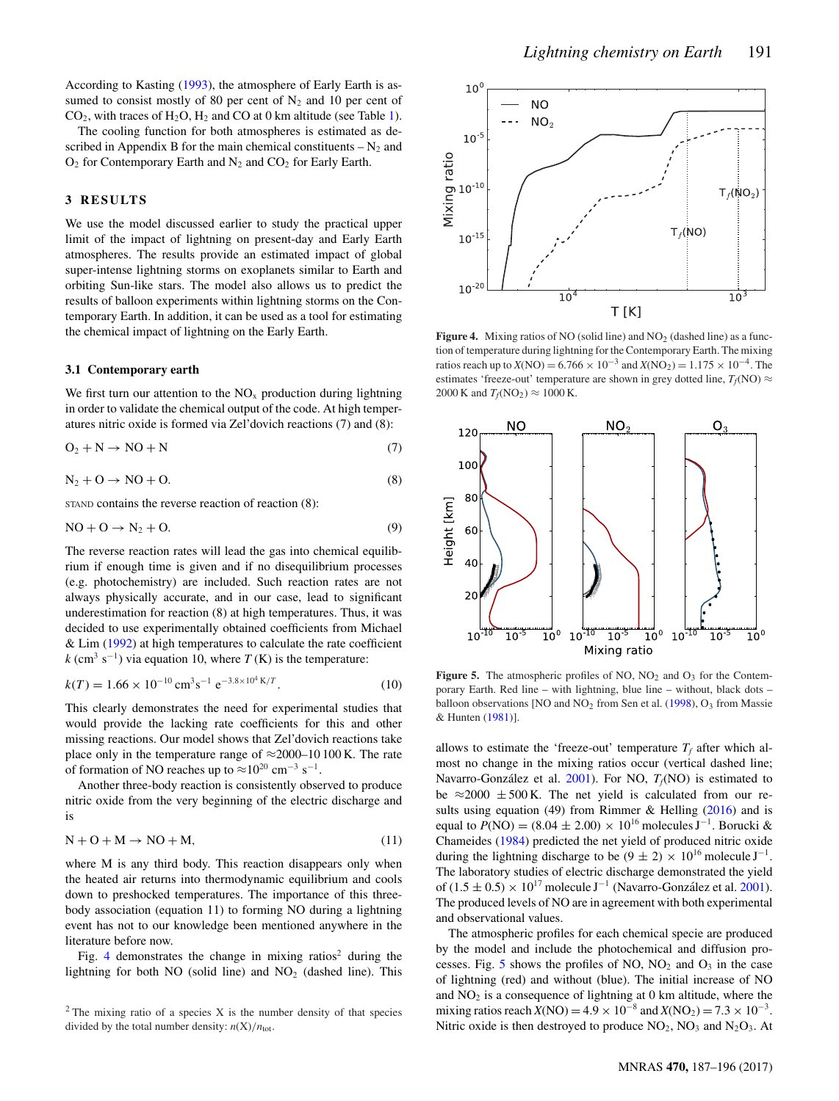According to Kasting [\(1993\)](#page-8-19), the atmosphere of Early Earth is assumed to consist mostly of 80 per cent of  $N_2$  and 10 per cent of  $CO<sub>2</sub>$ , with traces of H<sub>2</sub>O, H<sub>2</sub> and CO at 0 km altitude (see Table [1\)](#page-3-1).

The cooling function for both atmospheres is estimated as described in Appendix B for the main chemical constituents  $-N_2$  and  $O_2$  for Contemporary Earth and  $N_2$  and  $CO_2$  for Early Earth.

## **3 RESULTS**

We use the model discussed earlier to study the practical upper limit of the impact of lightning on present-day and Early Earth atmospheres. The results provide an estimated impact of global super-intense lightning storms on exoplanets similar to Earth and orbiting Sun-like stars. The model also allows us to predict the results of balloon experiments within lightning storms on the Contemporary Earth. In addition, it can be used as a tool for estimating the chemical impact of lightning on the Early Earth.

#### **3.1 Contemporary earth**

We first turn our attention to the  $NO<sub>x</sub>$  production during lightning in order to validate the chemical output of the code. At high temperatures nitric oxide is formed via Zel'dovich reactions (7) and (8):

$$
O_2 + N \to NO + N \tag{7}
$$

$$
N_2 + O \to NO + O. \tag{8}
$$

STAND contains the reverse reaction of reaction (8):

$$
NO + O \rightarrow N_2 + O. \tag{9}
$$

The reverse reaction rates will lead the gas into chemical equilibrium if enough time is given and if no disequilibrium processes (e.g. photochemistry) are included. Such reaction rates are not always physically accurate, and in our case, lead to significant underestimation for reaction (8) at high temperatures. Thus, it was decided to use experimentally obtained coefficients from Michael & Lim [\(1992\)](#page-8-24) at high temperatures to calculate the rate coefficient  $k$  (cm<sup>3</sup> s<sup>-1</sup>) via equation 10, where *T* (K) is the temperature:

$$
k(T) = 1.66 \times 10^{-10} \,\text{cm}^3 \text{s}^{-1} \text{ e}^{-3.8 \times 10^4 \,\text{K}/T}.
$$
 (10)

This clearly demonstrates the need for experimental studies that would provide the lacking rate coefficients for this and other missing reactions. Our model shows that Zel'dovich reactions take place only in the temperature range of  $\approx$ 2000–10 100 K. The rate of formation of NO reaches up to  $\approx 10^{20}$  cm<sup>-3</sup> s<sup>-1</sup>.

Another three-body reaction is consistently observed to produce nitric oxide from the very beginning of the electric discharge and is

$$
N + O + M \to NO + M,
$$
\n(11)

where M is any third body. This reaction disappears only when the heated air returns into thermodynamic equilibrium and cools down to preshocked temperatures. The importance of this threebody association (equation 11) to forming NO during a lightning event has not to our knowledge been mentioned anywhere in the literature before now.

Fig. [4](#page-4-0) demonstrates the change in mixing ratios<sup>2</sup> during the lightning for both NO (solid line) and  $NO<sub>2</sub>$  (dashed line). This

<span id="page-4-0"></span>

**Figure 4.** Mixing ratios of NO (solid line) and  $NO<sub>2</sub>$  (dashed line) as a function of temperature during lightning for the Contemporary Earth. The mixing ratios reach up to  $X(NO) = 6.766 \times 10^{-3}$  and  $X(NO_2) = 1.175 \times 10^{-4}$ . The estimates 'freeze-out' temperature are shown in grey dotted line,  $T_f(NO) \approx$ 2000 K and  $T_f(NO_2) \approx 1000$  K.

<span id="page-4-1"></span>

**Figure 5.** The atmospheric profiles of NO,  $NO<sub>2</sub>$  and  $O<sub>3</sub>$  for the Contemporary Earth. Red line – with lightning, blue line – without, black dots – balloon observations [NO and NO<sub>2</sub> from Sen et al. [\(1998\)](#page-8-25), O<sub>3</sub> from Massie & Hunten [\(1981\)](#page-8-26)].

allows to estimate the 'freeze-out' temperature  $T_f$  after which almost no change in the mixing ratios occur (vertical dashed line; Navarro-González et al.  $2001$ ). For NO,  $T_f(NO)$  is estimated to be  $\approx$  2000  $\pm$  500 K. The net yield is calculated from our re-sults using equation (49) from Rimmer & Helling [\(2016\)](#page-8-16) and is equal to  $P(\text{NO}) = (8.04 \pm 2.00) \times 10^{16}$  molecules J<sup>-1</sup>. Borucki & Chameides [\(1984\)](#page-7-10) predicted the net yield of produced nitric oxide during the lightning discharge to be  $(9 \pm 2) \times 10^{16}$  molecule J<sup>-1</sup>. The laboratory studies of electric discharge demonstrated the yield of (1.5 ± 0.5) × 10<sup>17</sup> molecule J<sup>-1</sup> (Navarro-González et al. [2001\)](#page-8-14). The produced levels of NO are in agreement with both experimental and observational values.

The atmospheric profiles for each chemical specie are produced by the model and include the photochemical and diffusion pro-cesses. Fig. [5](#page-4-1) shows the profiles of NO,  $NO<sub>2</sub>$  and  $O<sub>3</sub>$  in the case of lightning (red) and without (blue). The initial increase of NO and  $NO<sub>2</sub>$  is a consequence of lightning at 0 km altitude, where the mixing ratios reach  $X(NO) = 4.9 \times 10^{-8}$  and  $X(NO_2) = 7.3 \times 10^{-3}$ . Nitric oxide is then destroyed to produce  $NO_2$ ,  $NO_3$  and  $N_2O_3$ . At

 $2$  The mixing ratio of a species X is the number density of that species divided by the total number density:  $n(X)/n_{\text{tot}}$ .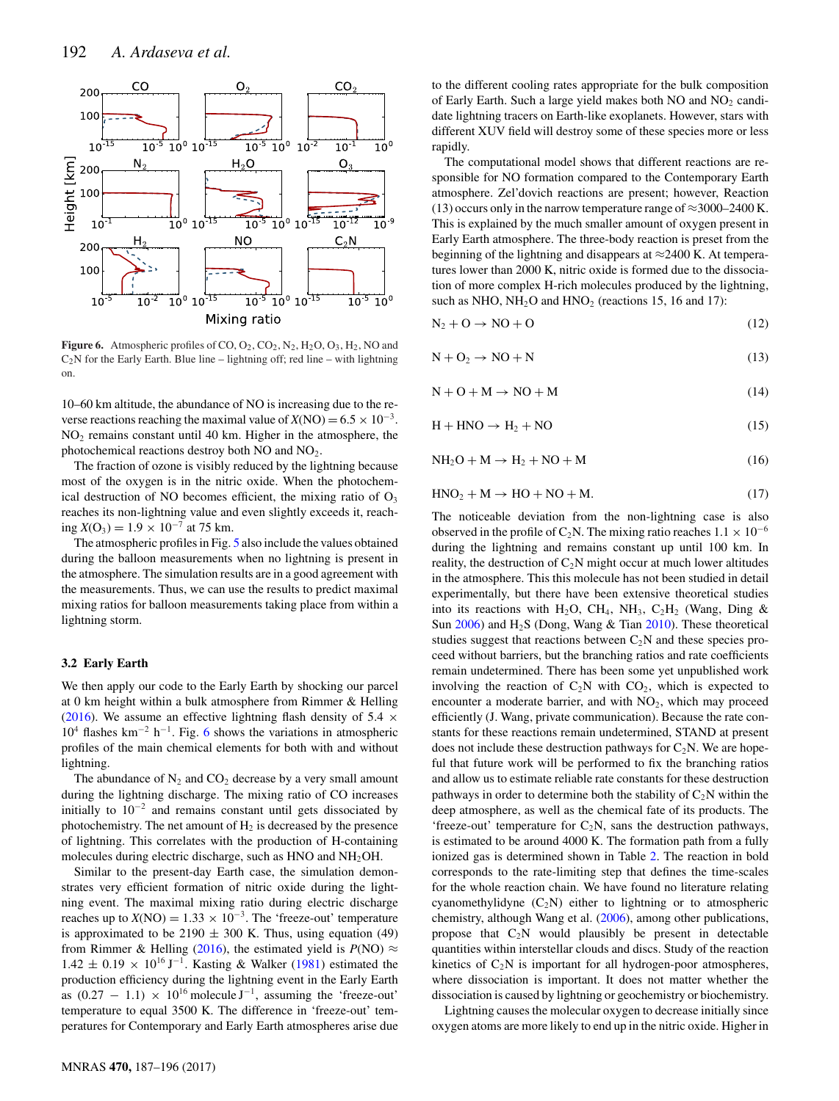<span id="page-5-0"></span>

**Figure 6.** Atmospheric profiles of CO,  $O_2$ ,  $CO_2$ ,  $N_2$ ,  $H_2O$ ,  $O_3$ ,  $H_2$ , NO and  $C_2N$  for the Early Earth. Blue line – lightning off; red line – with lightning on.

10–60 km altitude, the abundance of NO is increasing due to the reverse reactions reaching the maximal value of  $X(NO) = 6.5 \times 10^{-3}$ . NO2 remains constant until 40 km. Higher in the atmosphere, the photochemical reactions destroy both NO and NO2.

The fraction of ozone is visibly reduced by the lightning because most of the oxygen is in the nitric oxide. When the photochemical destruction of NO becomes efficient, the mixing ratio of  $O<sub>3</sub>$ reaches its non-lightning value and even slightly exceeds it, reaching  $X(O_3) = 1.9 \times 10^{-7}$  at 75 km.

The atmospheric profiles in Fig. [5](#page-4-1) also include the values obtained during the balloon measurements when no lightning is present in the atmosphere. The simulation results are in a good agreement with the measurements. Thus, we can use the results to predict maximal mixing ratios for balloon measurements taking place from within a lightning storm.

## **3.2 Early Earth**

We then apply our code to the Early Earth by shocking our parcel at 0 km height within a bulk atmosphere from Rimmer & Helling [\(2016\)](#page-8-16). We assume an effective lightning flash density of 5.4  $\times$  $10^4$  flashes km<sup>-2</sup> h<sup>-1</sup>. Fig. [6](#page-5-0) shows the variations in atmospheric profiles of the main chemical elements for both with and without lightning.

The abundance of  $N_2$  and  $CO_2$  decrease by a very small amount during the lightning discharge. The mixing ratio of CO increases initially to  $10^{-2}$  and remains constant until gets dissociated by photochemistry. The net amount of  $H_2$  is decreased by the presence of lightning. This correlates with the production of H-containing molecules during electric discharge, such as HNO and NH2OH.

Similar to the present-day Earth case, the simulation demonstrates very efficient formation of nitric oxide during the lightning event. The maximal mixing ratio during electric discharge reaches up to  $X(NO) = 1.33 \times 10^{-3}$ . The 'freeze-out' temperature is approximated to be 2190  $\pm$  300 K. Thus, using equation (49) from Rimmer & Helling [\(2016\)](#page-8-16), the estimated yield is  $P(NO) \approx$  $1.42 \pm 0.19 \times 10^{16} \,\mathrm{J}^{-1}$ . Kasting & Walker [\(1981\)](#page-8-27) estimated the production efficiency during the lightning event in the Early Earth as  $(0.27 - 1.1) \times 10^{16}$  molecule J<sup>-1</sup>, assuming the 'freeze-out' temperature to equal 3500 K. The difference in 'freeze-out' temperatures for Contemporary and Early Earth atmospheres arise due

to the different cooling rates appropriate for the bulk composition of Early Earth. Such a large yield makes both  $NO$  and  $NO<sub>2</sub>$  candidate lightning tracers on Earth-like exoplanets. However, stars with different XUV field will destroy some of these species more or less rapidly.

The computational model shows that different reactions are responsible for NO formation compared to the Contemporary Earth atmosphere. Zel'dovich reactions are present; however, Reaction (13) occurs only in the narrow temperature range of  $\approx$ 3000–2400 K. This is explained by the much smaller amount of oxygen present in Early Earth atmosphere. The three-body reaction is preset from the beginning of the lightning and disappears at  $\approx$ 2400 K. At temperatures lower than 2000 K, nitric oxide is formed due to the dissociation of more complex H-rich molecules produced by the lightning, such as NHO,  $NH<sub>2</sub>O$  and  $HNO<sub>2</sub>$  (reactions 15, 16 and 17):

$$
N_2 + O \to NO + O \tag{12}
$$

$$
N + O_2 \to NO + N \tag{13}
$$

$$
N + O + M \rightarrow NO + M \tag{14}
$$

$$
H + HNO \rightarrow H_2 + NO \tag{15}
$$

$$
NH2O + M \rightarrow H2 + NO + M
$$
 (16)

$$
HNO2 + M \rightarrow HO + NO + M.
$$
 (17)

The noticeable deviation from the non-lightning case is also observed in the profile of C<sub>2</sub>N. The mixing ratio reaches  $1.1 \times 10^{-6}$ during the lightning and remains constant up until 100 km. In reality, the destruction of  $C_2N$  might occur at much lower altitudes in the atmosphere. This this molecule has not been studied in detail experimentally, but there have been extensive theoretical studies into its reactions with H<sub>2</sub>O, CH<sub>4</sub>, NH<sub>3</sub>, C<sub>2</sub>H<sub>2</sub> (Wang, Ding & Sun  $2006$ ) and  $H_2S$  (Dong, Wang & Tian [2010\)](#page-7-17). These theoretical studies suggest that reactions between  $C_2N$  and these species proceed without barriers, but the branching ratios and rate coefficients remain undetermined. There has been some yet unpublished work involving the reaction of  $C_2N$  with  $CO_2$ , which is expected to encounter a moderate barrier, and with  $NO<sub>2</sub>$ , which may proceed efficiently (J. Wang, private communication). Because the rate constants for these reactions remain undetermined, STAND at present does not include these destruction pathways for  $C_2N$ . We are hopeful that future work will be performed to fix the branching ratios and allow us to estimate reliable rate constants for these destruction pathways in order to determine both the stability of  $C_2N$  within the deep atmosphere, as well as the chemical fate of its products. The 'freeze-out' temperature for  $C_2N$ , sans the destruction pathways, is estimated to be around 4000 K. The formation path from a fully ionized gas is determined shown in Table [2.](#page-6-0) The reaction in bold corresponds to the rate-limiting step that defines the time-scales for the whole reaction chain. We have found no literature relating cyanomethylidyne  $(C_2N)$  either to lightning or to atmospheric chemistry, although Wang et al. [\(2006\)](#page-8-28), among other publications, propose that  $C_2N$  would plausibly be present in detectable quantities within interstellar clouds and discs. Study of the reaction kinetics of  $C_2N$  is important for all hydrogen-poor atmospheres, where dissociation is important. It does not matter whether the dissociation is caused by lightning or geochemistry or biochemistry.

Lightning causes the molecular oxygen to decrease initially since oxygen atoms are more likely to end up in the nitric oxide. Higher in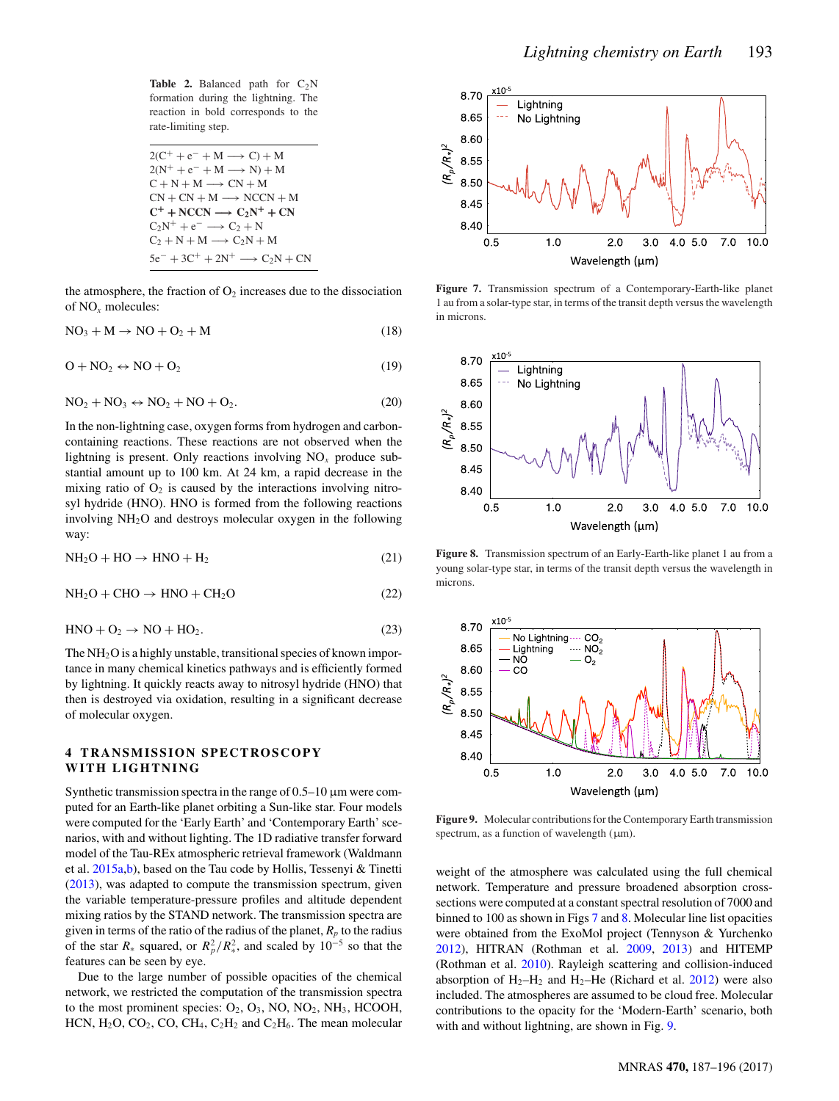<span id="page-6-0"></span>**Table 2.** Balanced path for  $C_2N$ formation during the lightning. The reaction in bold corresponds to the rate-limiting step.

| $2(C^+ + e^- + M \rightarrow C) + M$           |
|------------------------------------------------|
| $2(N^+ + e^- + M \longrightarrow N) + M$       |
| $C + N + M \longrightarrow CN + M$             |
| $CN + CN + M \longrightarrow NCCN + M$         |
| $C^+$ + NCCN $\longrightarrow$ $C_2N^+$ + CN   |
| $C_2N^+ + e^- \longrightarrow C_2 + N$         |
| $C_2 + N + M \longrightarrow C_2N + M$         |
| $5e^- + 3C^+ + 2N^+ \longrightarrow C_2N + CN$ |

the atmosphere, the fraction of  $O_2$  increases due to the dissociation of NO*<sup>x</sup>* molecules:

$$
NO_3 + M \rightarrow NO + O_2 + M \tag{18}
$$

$$
O + NO_2 \leftrightarrow NO + O_2 \tag{19}
$$

$$
NO2 + NO3 \leftrightarrow NO2 + NO + O2.
$$
 (20)

In the non-lightning case, oxygen forms from hydrogen and carboncontaining reactions. These reactions are not observed when the lightning is present. Only reactions involving  $NO<sub>x</sub>$  produce substantial amount up to 100 km. At 24 km, a rapid decrease in the mixing ratio of  $O_2$  is caused by the interactions involving nitrosyl hydride (HNO). HNO is formed from the following reactions involving NH2O and destroys molecular oxygen in the following way:

$$
NH2O + HO \rightarrow HNO + H2
$$
 (21)

$$
NH2O + CHO \rightarrow HNO + CH2O
$$
 (22)

$$
HNO + O2 \rightarrow NO + HO2.
$$
 (23)

The  $NH<sub>2</sub>O$  is a highly unstable, transitional species of known importance in many chemical kinetics pathways and is efficiently formed by lightning. It quickly reacts away to nitrosyl hydride (HNO) that then is destroyed via oxidation, resulting in a significant decrease of molecular oxygen.

## **4 TRANSMISSION SPECTROSCOPY WITH LIGHTNING**

Synthetic transmission spectra in the range of  $0.5-10 \mu m$  were computed for an Earth-like planet orbiting a Sun-like star. Four models were computed for the 'Early Earth' and 'Contemporary Earth' scenarios, with and without lighting. The 1D radiative transfer forward model of the Tau-REx atmospheric retrieval framework (Waldmann et al. [2015a,](#page-8-29)[b\)](#page-8-30), based on the Tau code by Hollis, Tessenyi & Tinetti [\(2013\)](#page-7-18), was adapted to compute the transmission spectrum, given the variable temperature-pressure profiles and altitude dependent mixing ratios by the STAND network. The transmission spectra are given in terms of the ratio of the radius of the planet,  $R_p$  to the radius of the star  $R_*$  squared, or  $R_p^2/R_*^2$ , and scaled by  $10^{-5}$  so that the features can be seen by eye.

Due to the large number of possible opacities of the chemical network, we restricted the computation of the transmission spectra to the most prominent species:  $O_2$ ,  $O_3$ , NO, NO<sub>2</sub>, NH<sub>3</sub>, HCOOH, HCN,  $H_2O$ , CO<sub>2</sub>, CO, CH<sub>4</sub>, C<sub>2</sub>H<sub>2</sub> and C<sub>2</sub>H<sub>6</sub>. The mean molecular

<span id="page-6-1"></span>

**Figure 7.** Transmission spectrum of a Contemporary-Earth-like planet 1 au from a solar-type star, in terms of the transit depth versus the wavelength in microns.

<span id="page-6-2"></span>

**Figure 8.** Transmission spectrum of an Early-Earth-like planet 1 au from a young solar-type star, in terms of the transit depth versus the wavelength in microns.

<span id="page-6-3"></span>

**Figure 9.** Molecular contributions for the Contemporary Earth transmission spectrum, as a function of wavelength  $(\mu m)$ .

weight of the atmosphere was calculated using the full chemical network. Temperature and pressure broadened absorption crosssections were computed at a constant spectral resolution of 7000 and binned to 100 as shown in Figs [7](#page-6-1) and [8.](#page-6-2) Molecular line list opacities were obtained from the ExoMol project (Tennyson & Yurchenko [2012\)](#page-8-31), HITRAN (Rothman et al. [2009,](#page-8-32) [2013\)](#page-8-33) and HITEMP (Rothman et al. [2010\)](#page-8-34). Rayleigh scattering and collision-induced absorption of  $H_2-H_2$  and  $H_2$ –He (Richard et al. [2012\)](#page-8-35) were also included. The atmospheres are assumed to be cloud free. Molecular contributions to the opacity for the 'Modern-Earth' scenario, both with and without lightning, are shown in Fig. [9.](#page-6-3)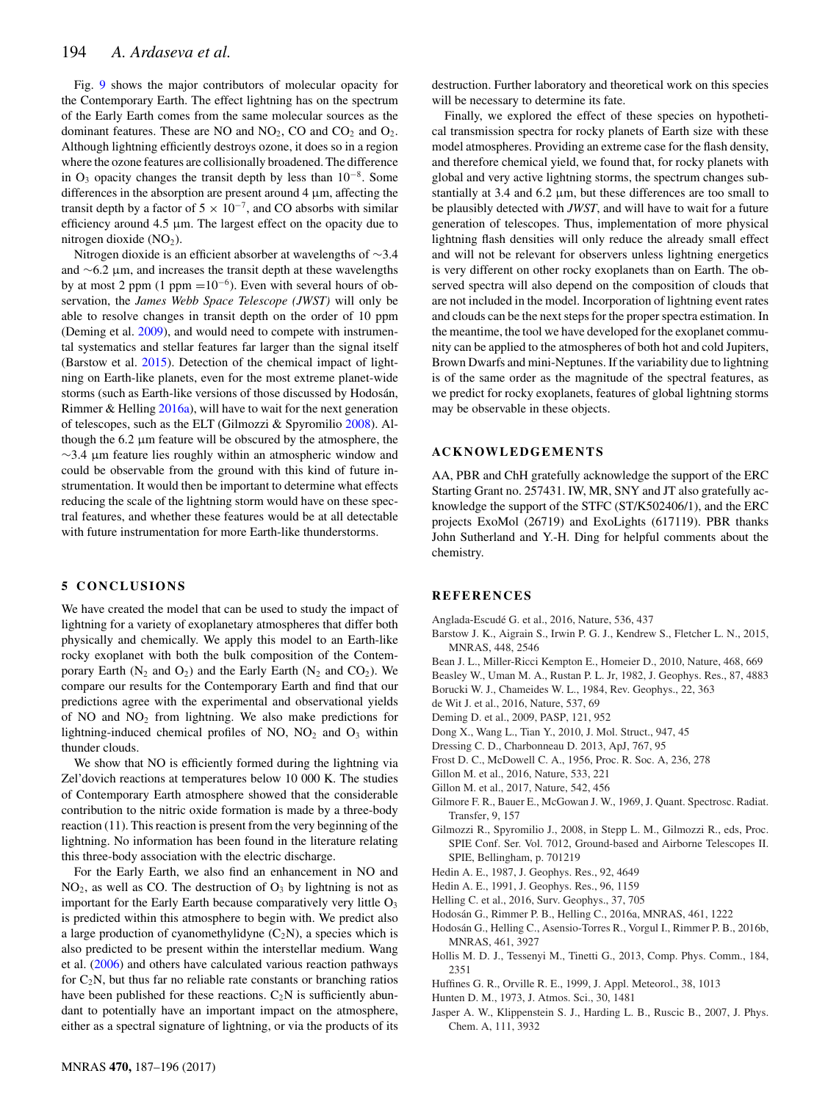Fig. [9](#page-6-3) shows the major contributors of molecular opacity for the Contemporary Earth. The effect lightning has on the spectrum of the Early Earth comes from the same molecular sources as the dominant features. These are NO and  $NO<sub>2</sub>$ , CO and  $CO<sub>2</sub>$  and  $O<sub>2</sub>$ . Although lightning efficiently destroys ozone, it does so in a region where the ozone features are collisionally broadened. The difference in  $O_3$  opacity changes the transit depth by less than  $10^{-8}$ . Some differences in the absorption are present around 4 μm, affecting the transit depth by a factor of  $5 \times 10^{-7}$ , and CO absorbs with similar efficiency around 4.5  $\mu$ m. The largest effect on the opacity due to nitrogen dioxide  $(NO<sub>2</sub>)$ .

Nitrogen dioxide is an efficient absorber at wavelengths of ∼3.4 and ∼6.2 μm, and increases the transit depth at these wavelengths by at most 2 ppm (1 ppm = $10^{-6}$ ). Even with several hours of observation, the *James Webb Space Telescope (JWST)* will only be able to resolve changes in transit depth on the order of 10 ppm (Deming et al. [2009\)](#page-7-19), and would need to compete with instrumental systematics and stellar features far larger than the signal itself (Barstow et al. [2015\)](#page-7-20). Detection of the chemical impact of lightning on Earth-like planets, even for the most extreme planet-wide storms (such as Earth-like versions of those discussed by Hodosán, Rimmer & Helling [2016a\)](#page-7-21), will have to wait for the next generation of telescopes, such as the ELT (Gilmozzi & Spyromilio [2008\)](#page-7-22). Although the 6.2 μm feature will be obscured by the atmosphere, the  $\sim$ 3.4 μm feature lies roughly within an atmospheric window and could be observable from the ground with this kind of future instrumentation. It would then be important to determine what effects reducing the scale of the lightning storm would have on these spectral features, and whether these features would be at all detectable with future instrumentation for more Earth-like thunderstorms.

## **5 CONCLUSIONS**

We have created the model that can be used to study the impact of lightning for a variety of exoplanetary atmospheres that differ both physically and chemically. We apply this model to an Earth-like rocky exoplanet with both the bulk composition of the Contemporary Earth ( $N_2$  and  $O_2$ ) and the Early Earth ( $N_2$  and  $CO_2$ ). We compare our results for the Contemporary Earth and find that our predictions agree with the experimental and observational yields of NO and  $NO<sub>2</sub>$  from lightning. We also make predictions for lightning-induced chemical profiles of NO,  $NO<sub>2</sub>$  and  $O<sub>3</sub>$  within thunder clouds.

We show that NO is efficiently formed during the lightning via Zel'dovich reactions at temperatures below 10 000 K. The studies of Contemporary Earth atmosphere showed that the considerable contribution to the nitric oxide formation is made by a three-body reaction (11). This reaction is present from the very beginning of the lightning. No information has been found in the literature relating this three-body association with the electric discharge.

For the Early Earth, we also find an enhancement in NO and  $NO<sub>2</sub>$ , as well as CO. The destruction of  $O<sub>3</sub>$  by lightning is not as important for the Early Earth because comparatively very little  $O<sub>3</sub>$ is predicted within this atmosphere to begin with. We predict also a large production of cyanomethylidyne  $(C_2N)$ , a species which is also predicted to be present within the interstellar medium. Wang et al. [\(2006\)](#page-8-28) and others have calculated various reaction pathways for  $C_2N$ , but thus far no reliable rate constants or branching ratios have been published for these reactions.  $C_2N$  is sufficiently abundant to potentially have an important impact on the atmosphere, either as a spectral signature of lightning, or via the products of its

destruction. Further laboratory and theoretical work on this species will be necessary to determine its fate.

Finally, we explored the effect of these species on hypothetical transmission spectra for rocky planets of Earth size with these model atmospheres. Providing an extreme case for the flash density, and therefore chemical yield, we found that, for rocky planets with global and very active lightning storms, the spectrum changes substantially at 3.4 and 6.2 μm, but these differences are too small to be plausibly detected with *JWST*, and will have to wait for a future generation of telescopes. Thus, implementation of more physical lightning flash densities will only reduce the already small effect and will not be relevant for observers unless lightning energetics is very different on other rocky exoplanets than on Earth. The observed spectra will also depend on the composition of clouds that are not included in the model. Incorporation of lightning event rates and clouds can be the next steps for the proper spectra estimation. In the meantime, the tool we have developed for the exoplanet community can be applied to the atmospheres of both hot and cold Jupiters, Brown Dwarfs and mini-Neptunes. If the variability due to lightning is of the same order as the magnitude of the spectral features, as we predict for rocky exoplanets, features of global lightning storms may be observable in these objects.

## **ACKNOWLEDGEMENTS**

AA, PBR and ChH gratefully acknowledge the support of the ERC Starting Grant no. 257431. IW, MR, SNY and JT also gratefully acknowledge the support of the STFC (ST/K502406/1), and the ERC projects ExoMol (26719) and ExoLights (617119). PBR thanks John Sutherland and Y.-H. Ding for helpful comments about the chemistry.

#### **REFERENCES**

- <span id="page-7-2"></span>Anglada-Escude G. et al., 2016, Nature, 536, 437 ´
- <span id="page-7-20"></span>Barstow J. K., Aigrain S., Irwin P. G. J., Kendrew S., Fletcher L. N., 2015, MNRAS, 448, 2546
- <span id="page-7-4"></span>Bean J. L., Miller-Ricci Kempton E., Homeier D., 2010, Nature, 468, 669
- <span id="page-7-5"></span>Beasley W., Uman M. A., Rustan P. L. Jr, 1982, J. Geophys. Res., 87, 4883
- <span id="page-7-10"></span>Borucki W. J., Chameides W. L., 1984, Rev. Geophys., 22, 363
- <span id="page-7-3"></span>de Wit J. et al., 2016, Nature, 537, 69
- <span id="page-7-19"></span>Deming D. et al., 2009, PASP, 121, 952
- <span id="page-7-17"></span>Dong X., Wang L., Tian Y., 2010, J. Mol. Struct., 947, 45
- <span id="page-7-7"></span>Dressing C. D., Charbonneau D. 2013, ApJ, 767, 95
- <span id="page-7-9"></span>Frost D. C., McDowell C. A., 1956, Proc. R. Soc. A, 236, 278
- <span id="page-7-0"></span>Gillon M. et al., 2016, Nature, 533, 221
- <span id="page-7-1"></span>Gillon M. et al., 2017, Nature, 542, 456
- <span id="page-7-11"></span>Gilmore F. R., Bauer E., McGowan J. W., 1969, J. Quant. Spectrosc. Radiat. Transfer, 9, 157
- <span id="page-7-22"></span>Gilmozzi R., Spyromilio J., 2008, in Stepp L. M., Gilmozzi R., eds, Proc. SPIE Conf. Ser. Vol. 7012, Ground-based and Airborne Telescopes II. SPIE, Bellingham, p. 701219
- <span id="page-7-13"></span>Hedin A. E., 1987, J. Geophys. Res., 92, 4649
- <span id="page-7-14"></span>Hedin A. E., 1991, J. Geophys. Res., 96, 1159
- <span id="page-7-6"></span>Helling C. et al., 2016, Surv. Geophys., 37, 705
- <span id="page-7-21"></span>Hodosan G., Rimmer P. B., Helling C., 2016a, MNRAS, 461, 1222 ´
- <span id="page-7-8"></span>Hodosán G., Helling C., Asensio-Torres R., Vorgul I., Rimmer P. B., 2016b, MNRAS, 461, 3927
- <span id="page-7-18"></span>Hollis M. D. J., Tessenyi M., Tinetti G., 2013, Comp. Phys. Comm., 184, 2351
- <span id="page-7-15"></span>Huffines G. R., Orville R. E., 1999, J. Appl. Meteorol., 38, 1013
- <span id="page-7-16"></span>Hunten D. M., 1973, J. Atmos. Sci., 30, 1481
- <span id="page-7-12"></span>Jasper A. W., Klippenstein S. J., Harding L. B., Ruscic B., 2007, J. Phys. Chem. A, 111, 3932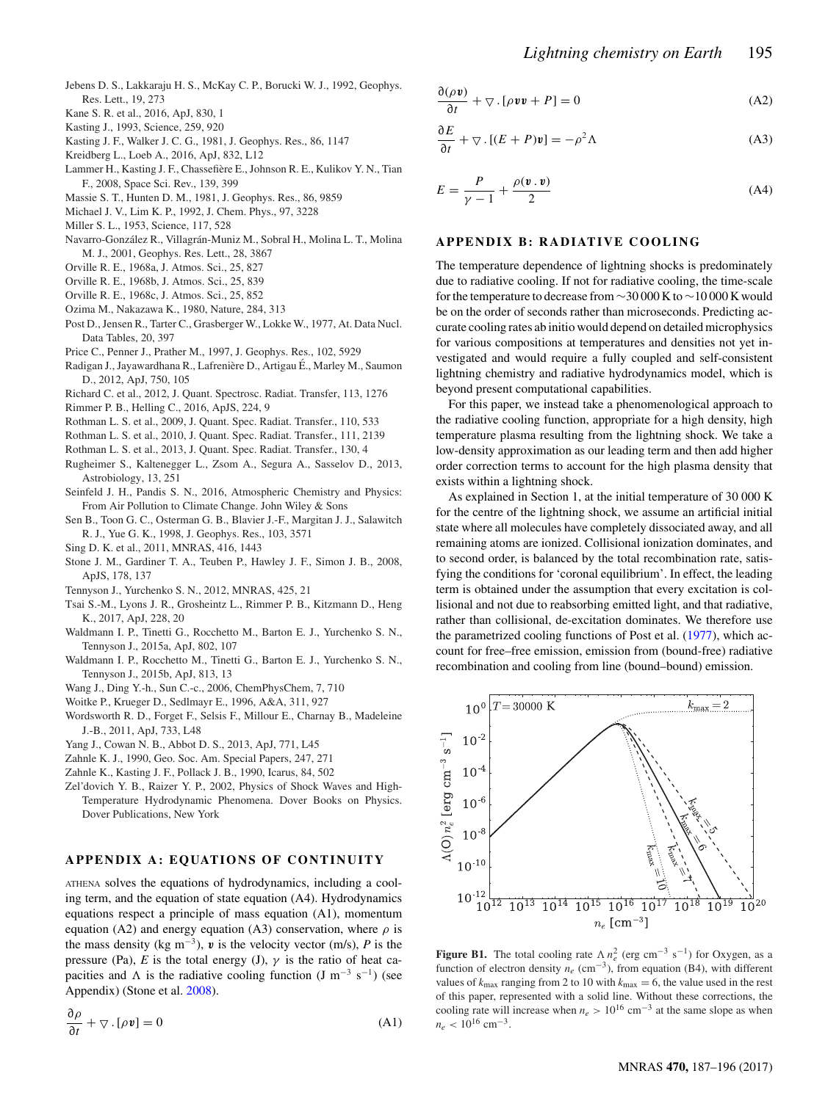- <span id="page-8-13"></span>Jebens D. S., Lakkaraju H. S., McKay C. P., Borucki W. J., 1992, Geophys. Res. Lett., 19, 273
- <span id="page-8-1"></span>Kane S. R. et al., 2016, ApJ, 830, 1
- <span id="page-8-19"></span>Kasting J., 1993, Science, 259, 920
- <span id="page-8-27"></span>Kasting J. F., Walker J. C. G., 1981, J. Geophys. Res., 86, 1147
- <span id="page-8-0"></span>Kreidberg L., Loeb A., 2016, ApJ, 832, L12
- <span id="page-8-23"></span>Lammer H., Kasting J. F., Chassefière E., Johnson R. E., Kulikov Y. N., Tian F., 2008, Space Sci. Rev., 139, 399
- <span id="page-8-26"></span>Massie S. T., Hunten D. M., 1981, J. Geophys. Res., 86, 9859
- <span id="page-8-24"></span>Michael J. V., Lim K. P., 1992, J. Chem. Phys., 97, 3228
- <span id="page-8-3"></span>Miller S. L., 1953, Science, 117, 528
- <span id="page-8-14"></span>Navarro-González R., Villagrán-Muniz M., Sobral H., Molina L. T., Molina M. J., 2001, Geophys. Res. Lett., 28, 3867
- <span id="page-8-8"></span>Orville R. E., 1968a, J. Atmos. Sci., 25, 827
- <span id="page-8-9"></span>Orville R. E., 1968b, J. Atmos. Sci., 25, 839
- <span id="page-8-10"></span>Orville R. E., 1968c, J. Atmos. Sci., 25, 852
- <span id="page-8-20"></span>Ozima M., Nakazawa K., 1980, Nature, 284, 313
- <span id="page-8-37"></span>Post D., Jensen R., Tarter C., Grasberger W., Lokke W., 1977, At. Data Nucl. Data Tables, 20, 397
- <span id="page-8-12"></span>Price C., Penner J., Prather M., 1997, J. Geophys. Res., 102, 5929
- <span id="page-8-6"></span>Radigan J., Jayawardhana R., Lafrenière D., Artigau É., Marley M., Saumon D., 2012, ApJ, 750, 105
- <span id="page-8-35"></span>Richard C. et al., 2012, J. Quant. Spectrosc. Radiat. Transfer, 113, 1276
- <span id="page-8-16"></span>Rimmer P. B., Helling C., 2016, ApJS, 224, 9
- <span id="page-8-32"></span>Rothman L. S. et al., 2009, J. Quant. Spec. Radiat. Transfer., 110, 533
- <span id="page-8-34"></span>Rothman L. S. et al., 2010, J. Quant. Spec. Radiat. Transfer., 111, 2139
- <span id="page-8-33"></span>Rothman L. S. et al., 2013, J. Quant. Spec. Radiat. Transfer., 130, 4
- <span id="page-8-7"></span>Rugheimer S., Kaltenegger L., Zsom A., Segura A., Sasselov D., 2013, Astrobiology, 13, 251
- <span id="page-8-18"></span>Seinfeld J. H., Pandis S. N., 2016, Atmospheric Chemistry and Physics: From Air Pollution to Climate Change. John Wiley & Sons
- <span id="page-8-25"></span>Sen B., Toon G. C., Osterman G. B., Blavier J.-F., Margitan J. J., Salawitch R. J., Yue G. K., 1998, J. Geophys. Res., 103, 3571
- <span id="page-8-4"></span>Sing D. K. et al., 2011, MNRAS, 416, 1443
- <span id="page-8-15"></span>Stone J. M., Gardiner T. A., Teuben P., Hawley J. F., Simon J. B., 2008, ApJS, 178, 137
- <span id="page-8-31"></span>Tennyson J., Yurchenko S. N., 2012, MNRAS, 425, 21
- <span id="page-8-17"></span>Tsai S.-M., Lyons J. R., Grosheintz L., Rimmer P. B., Kitzmann D., Heng K., 2017, ApJ, 228, 20
- <span id="page-8-29"></span>Waldmann I. P., Tinetti G., Rocchetto M., Barton E. J., Yurchenko S. N., Tennyson J., 2015a, ApJ, 802, 107
- <span id="page-8-30"></span>Waldmann I. P., Rocchetto M., Tinetti G., Barton E. J., Yurchenko S. N., Tennyson J., 2015b, ApJ, 813, 13
- <span id="page-8-28"></span>Wang J., Ding Y.-h., Sun C.-c., 2006, ChemPhysChem, 7, 710
- <span id="page-8-38"></span>Woitke P., Krueger D., Sedlmayr E., 1996, A&A, 311, 927
- <span id="page-8-5"></span>Wordsworth R. D., Forget F., Selsis F., Millour E., Charnay B., Madeleine J.-B., 2011, ApJ, 733, L48
- <span id="page-8-2"></span>Yang J., Cowan N. B., Abbot D. S., 2013, ApJ, 771, L45
- <span id="page-8-22"></span>Zahnle K. J., 1990, Geo. Soc. Am. Special Papers, 247, 271
- <span id="page-8-21"></span>Zahnle K., Kasting J. F., Pollack J. B., 1990, Icarus, 84, 502
- <span id="page-8-11"></span>Zel'dovich Y. B., Raizer Y. P., 2002, Physics of Shock Waves and High-Temperature Hydrodynamic Phenomena. Dover Books on Physics. Dover Publications, New York

## **APPENDIX A: EQUATIONS OF CONTINUITY**

ATHENA solves the equations of hydrodynamics, including a cooling term, and the equation of state equation (A4). Hydrodynamics equations respect a principle of mass equation (A1), momentum equation (A2) and energy equation (A3) conservation, where  $\rho$  is the mass density (kg m<sup>-3</sup>),  $v$  is the velocity vector (m/s),  $P$  is the pressure (Pa), *E* is the total energy (J),  $\gamma$  is the ratio of heat capacities and  $\Lambda$  is the radiative cooling function (J m<sup>-3</sup> s<sup>-1</sup>) (see Appendix) (Stone et al. [2008\)](#page-8-15).

$$
\frac{\partial \rho}{\partial t} + \nabla \cdot [\rho \mathbf{v}] = 0 \tag{A1}
$$

$$
\frac{\partial(\rho \mathbf{v})}{\partial t} + \nabla \cdot [\rho \mathbf{v} \mathbf{v} + P] = 0 \tag{A2}
$$

$$
\frac{\partial E}{\partial t} + \nabla \cdot [(E + P)\mathbf{v}] = -\rho^2 \Lambda
$$
 (A3)

$$
E = \frac{P}{\gamma - 1} + \frac{\rho(\mathbf{v} \cdot \mathbf{v})}{2} \tag{A4}
$$

#### **APPENDIX B: RADIATIVE COOLING**

The temperature dependence of lightning shocks is predominately due to radiative cooling. If not for radiative cooling, the time-scale fo[r](#page-8-36) the temperature to decrease from ∼30 000 K to ∼10 000 K would be on the order of seconds rather than microseconds. Predicting accurate cooling rates ab initio would depend on detailed microphysics for various compositions at temperatures and densities not yet investigated and would require a fully coupled and self-consistent lightning chemistry and radiative hydrodynamics model, which is beyond present computational capabilities.

For this paper, we instead take a phenomenological approach to the radiative cooling function, appropriate for a high density, high temperature plasma resulting from the lightning shock. We take a low-density approximation as our leading term and then add higher order correction terms to account for the high plasma density that exists within a lightning shock.

As explained in Section 1, at the initial temperature of 30 000 K for the centre of the lightning shock, we assume an artificial initial state where all molecule[s](#page-9-0) have completely dissociated away, and all remaining atoms are ionized. Collisional ionization dominates, and to second order, is balanced by the total recombination rate, satisfying the conditions for 'coronal equilibrium'. In effect, the leading term is obtained under the assumption that every excitation is collisional and not due to reabsorbing emitted light, and that radiative, rather than collisional, de-excitation dominates. We therefore use the parametrized cooling functions of Post et al. [\(1977\)](#page-8-37), which account for free–free emission, emission from (bound-free) radiative recombination and cooling from line (bound–bound) emission.

<span id="page-8-36"></span>

**Figure B1.** The total cooling rate  $\Lambda n_e^2$  (erg cm<sup>-3</sup> s<sup>-1</sup>) for Oxygen, as a function of electron density  $n_e$  (cm<sup>-3</sup>), from equation (B4), with different values of  $k_{\text{max}}$  ranging from 2 to 10 with  $k_{\text{max}} = 6$ , the value used in the rest of this paper, represented with a solid line. Without these corrections, the cooling rate will increase when  $n_e > 10^{16}$  cm<sup>-3</sup> at the same slope as when  $n_e$  < 10<sup>16</sup> cm<sup>-3</sup>.